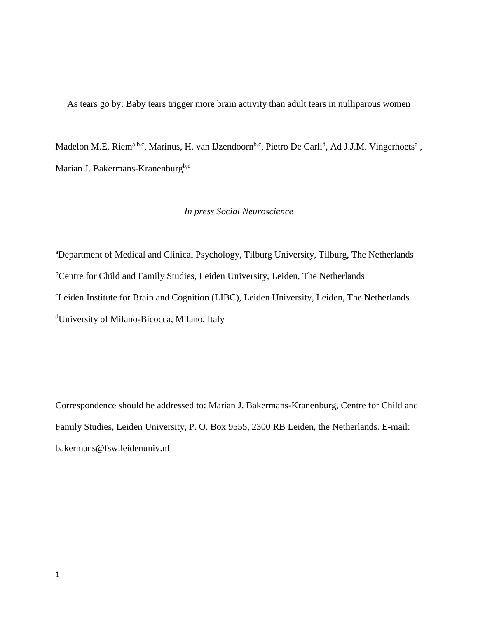As tears go by: Baby tears trigger more brain activity than adult tears in nulliparous women

Madelon M.E. Riem<sup>a,b,c</sup>, Marinus, H. van IJzendoorn<sup>b,c</sup>, Pietro De Carli<sup>d</sup>, Ad J.J.M. Vingerhoets<sup>a</sup>, Marian J. Bakermans-Kranenburg<sup>b,c</sup>

# *In press Social Neuroscience*

<sup>a</sup>Department of Medical and Clinical Psychology, Tilburg University, Tilburg, The Netherlands <sup>b</sup>Centre for Child and Family Studies, Leiden University, Leiden, The Netherlands <sup>c</sup>Leiden Institute for Brain and Cognition (LIBC), Leiden University, Leiden, The Netherlands <sup>d</sup>University of Milano-Bicocca, Milano, Italy

Correspondence should be addressed to: Marian J. Bakermans-Kranenburg, Centre for Child and Family Studies, Leiden University, P. O. Box 9555, 2300 RB Leiden, the Netherlands. E-mail: bakermans@fsw.leidenuniv.nl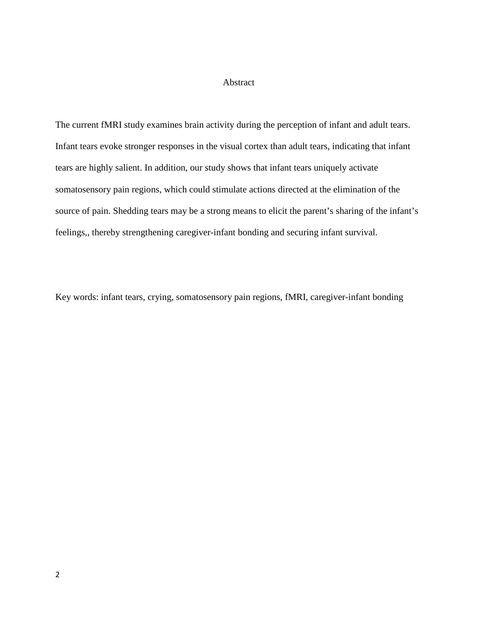### Abstract

The current fMRI study examines brain activity during the perception of infant and adult tears. Infant tears evoke stronger responses in the visual cortex than adult tears, indicating that infant tears are highly salient. In addition, our study shows that infant tears uniquely activate somatosensory pain regions, which could stimulate actions directed at the elimination of the source of pain. Shedding tears may be a strong means to elicit the parent's sharing of the infant's feelings,, thereby strengthening caregiver-infant bonding and securing infant survival.

Key words: infant tears, crying, somatosensory pain regions, fMRI, caregiver-infant bonding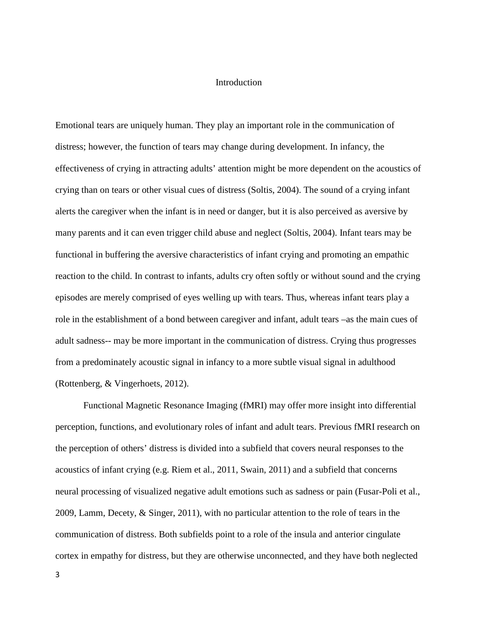### Introduction

Emotional tears are uniquely human. They play an important role in the communication of distress; however, the function of tears may change during development. In infancy, the effectiveness of crying in attracting adults' attention might be more dependent on the acoustics of crying than on tears or other visual cues of distress (Soltis, 2004). The sound of a crying infant alerts the caregiver when the infant is in need or danger, but it is also perceived as aversive by many parents and it can even trigger child abuse and neglect (Soltis, 2004). Infant tears may be functional in buffering the aversive characteristics of infant crying and promoting an empathic reaction to the child. In contrast to infants, adults cry often softly or without sound and the crying episodes are merely comprised of eyes welling up with tears. Thus, whereas infant tears play a role in the establishment of a bond between caregiver and infant, adult tears –as the main cues of adult sadness-- may be more important in the communication of distress. Crying thus progresses from a predominately acoustic signal in infancy to a more subtle visual signal in adulthood (Rottenberg, & Vingerhoets, 2012).

Functional Magnetic Resonance Imaging (fMRI) may offer more insight into differential perception, functions, and evolutionary roles of infant and adult tears. Previous fMRI research on the perception of others' distress is divided into a subfield that covers neural responses to the acoustics of infant crying (e.g. Riem et al., 2011, Swain, 2011) and a subfield that concerns neural processing of visualized negative adult emotions such as sadness or pain (Fusar-Poli et al., 2009, Lamm, Decety, & Singer, 2011), with no particular attention to the role of tears in the communication of distress. Both subfields point to a role of the insula and anterior cingulate cortex in empathy for distress, but they are otherwise unconnected, and they have both neglected

3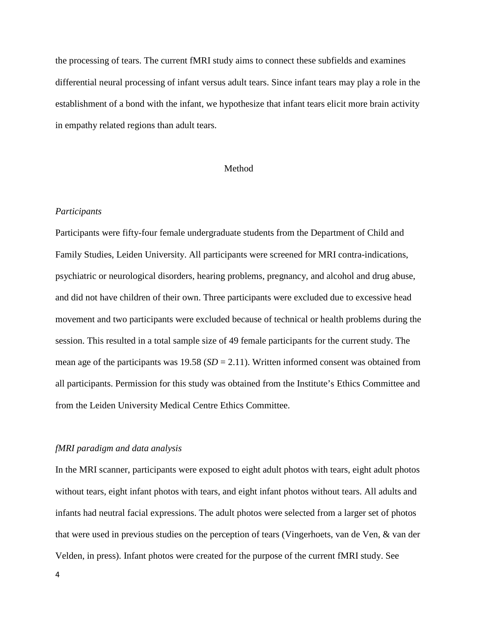the processing of tears. The current fMRI study aims to connect these subfields and examines differential neural processing of infant versus adult tears. Since infant tears may play a role in the establishment of a bond with the infant, we hypothesize that infant tears elicit more brain activity in empathy related regions than adult tears.

## Method

### *Participants*

Participants were fifty-four female undergraduate students from the Department of Child and Family Studies, Leiden University. All participants were screened for MRI contra-indications, psychiatric or neurological disorders, hearing problems, pregnancy, and alcohol and drug abuse, and did not have children of their own. Three participants were excluded due to excessive head movement and two participants were excluded because of technical or health problems during the session. This resulted in a total sample size of 49 female participants for the current study. The mean age of the participants was  $19.58$  ( $SD = 2.11$ ). Written informed consent was obtained from all participants. Permission for this study was obtained from the Institute's Ethics Committee and from the Leiden University Medical Centre Ethics Committee.

## *fMRI paradigm and data analysis*

In the MRI scanner, participants were exposed to eight adult photos with tears, eight adult photos without tears, eight infant photos with tears, and eight infant photos without tears. All adults and infants had neutral facial expressions. The adult photos were selected from a larger set of photos that were used in previous studies on the perception of tears (Vingerhoets, van de Ven, & van der Velden, in press). Infant photos were created for the purpose of the current fMRI study. See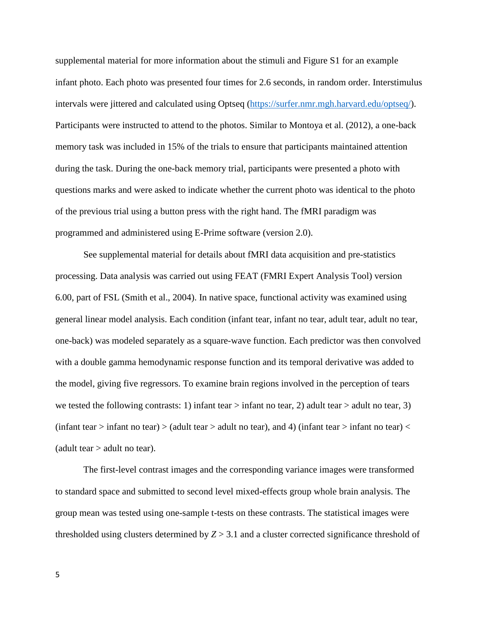supplemental material for more information about the stimuli and Figure S1 for an example infant photo. Each photo was presented four times for 2.6 seconds, in random order. Interstimulus intervals were jittered and calculated using Optseq (https://surfer.nmr.mgh.harvard.edu/optseq/). Participants were instructed to attend to the photos. Similar to Montoya et al. (2012), a one-back memory task was included in 15% of the trials to ensure that participants maintained attention during the task. During the one-back memory trial, participants were presented a photo with questions marks and were asked to indicate whether the current photo was identical to the photo of the previous trial using a button press with the right hand. The fMRI paradigm was programmed and administered using E-Prime software (version 2.0).

See supplemental material for details about fMRI data acquisition and pre-statistics processing. Data analysis was carried out using FEAT (FMRI Expert Analysis Tool) version 6.00, part of FSL (Smith et al., 2004). In native space, functional activity was examined using general linear model analysis. Each condition (infant tear, infant no tear, adult tear, adult no tear, one-back) was modeled separately as a square-wave function. Each predictor was then convolved with a double gamma hemodynamic response function and its temporal derivative was added to the model, giving five regressors. To examine brain regions involved in the perception of tears we tested the following contrasts: 1) infant tear > infant no tear, 2) adult tear > adult no tear, 3) (infant tear  $>$  infant no tear)  $>$  (adult tear  $>$  adult no tear), and 4) (infant tear  $>$  infant no tear)  $<$ (adult tear  $>$  adult no tear).

 The first-level contrast images and the corresponding variance images were transformed to standard space and submitted to second level mixed-effects group whole brain analysis. The group mean was tested using one-sample t-tests on these contrasts. The statistical images were thresholded using clusters determined by  $Z > 3.1$  and a cluster corrected significance threshold of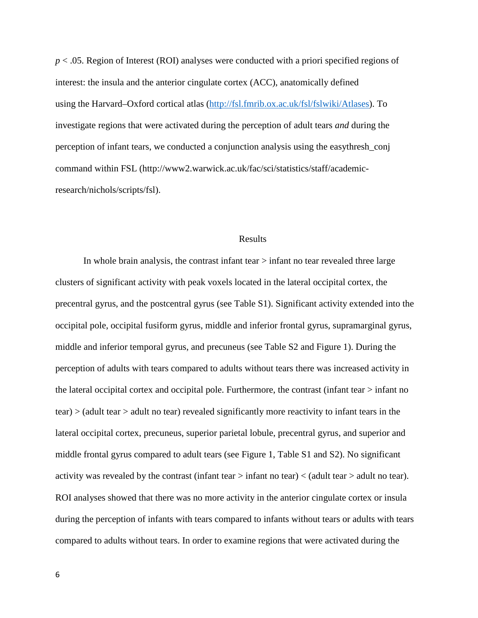*p* < .05. Region of Interest (ROI) analyses were conducted with a priori specified regions of interest: the insula and the anterior cingulate cortex (ACC), anatomically defined using the Harvard–Oxford cortical atlas (http://fsl.fmrib.ox.ac.uk/fsl/fslwiki/Atlases). To investigate regions that were activated during the perception of adult tears *and* during the perception of infant tears, we conducted a conjunction analysis using the easythresh\_conj command within FSL (http://www2.warwick.ac.uk/fac/sci/statistics/staff/academicresearch/nichols/scripts/fsl).

#### Results

 In whole brain analysis, the contrast infant tear > infant no tear revealed three large clusters of significant activity with peak voxels located in the lateral occipital cortex, the precentral gyrus, and the postcentral gyrus (see Table S1). Significant activity extended into the occipital pole, occipital fusiform gyrus, middle and inferior frontal gyrus, supramarginal gyrus, middle and inferior temporal gyrus, and precuneus (see Table S2 and Figure 1). During the perception of adults with tears compared to adults without tears there was increased activity in the lateral occipital cortex and occipital pole. Furthermore, the contrast (infant tear > infant no tear) > (adult tear > adult no tear) revealed significantly more reactivity to infant tears in the lateral occipital cortex, precuneus, superior parietal lobule, precentral gyrus, and superior and middle frontal gyrus compared to adult tears (see Figure 1, Table S1 and S2). No significant activity was revealed by the contrast (infant tear  $>$  infant no tear)  $<$  (adult tear  $>$  adult no tear). ROI analyses showed that there was no more activity in the anterior cingulate cortex or insula during the perception of infants with tears compared to infants without tears or adults with tears compared to adults without tears. In order to examine regions that were activated during the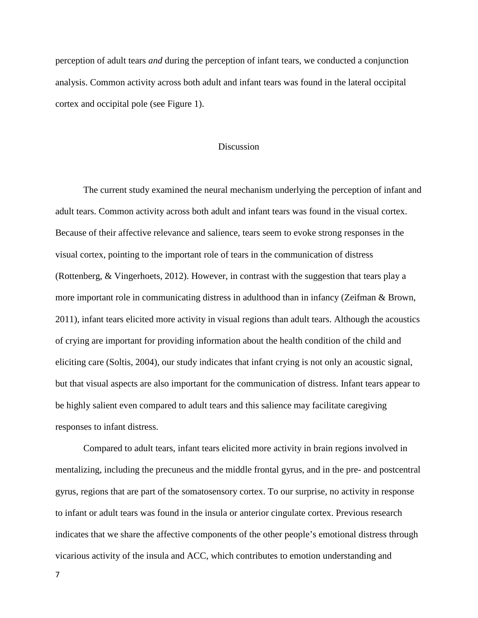perception of adult tears *and* during the perception of infant tears, we conducted a conjunction analysis. Common activity across both adult and infant tears was found in the lateral occipital cortex and occipital pole (see Figure 1).

### **Discussion**

 The current study examined the neural mechanism underlying the perception of infant and adult tears. Common activity across both adult and infant tears was found in the visual cortex. Because of their affective relevance and salience, tears seem to evoke strong responses in the visual cortex, pointing to the important role of tears in the communication of distress (Rottenberg, & Vingerhoets, 2012). However, in contrast with the suggestion that tears play a more important role in communicating distress in adulthood than in infancy (Zeifman & Brown, 2011), infant tears elicited more activity in visual regions than adult tears. Although the acoustics of crying are important for providing information about the health condition of the child and eliciting care (Soltis, 2004), our study indicates that infant crying is not only an acoustic signal, but that visual aspects are also important for the communication of distress. Infant tears appear to be highly salient even compared to adult tears and this salience may facilitate caregiving responses to infant distress.

 Compared to adult tears, infant tears elicited more activity in brain regions involved in mentalizing, including the precuneus and the middle frontal gyrus, and in the pre- and postcentral gyrus, regions that are part of the somatosensory cortex. To our surprise, no activity in response to infant or adult tears was found in the insula or anterior cingulate cortex. Previous research indicates that we share the affective components of the other people's emotional distress through vicarious activity of the insula and ACC, which contributes to emotion understanding and

7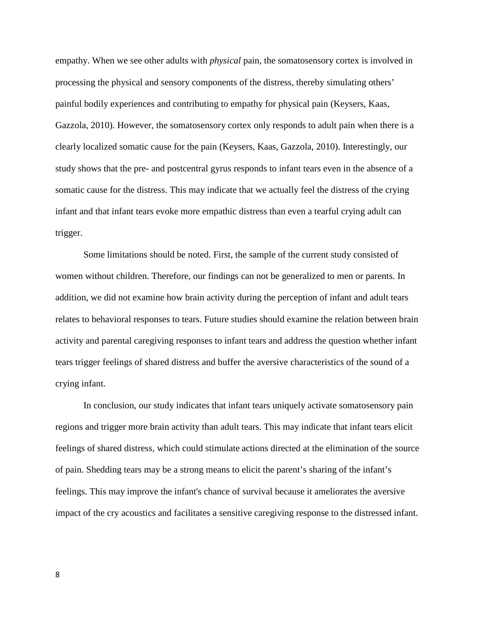empathy. When we see other adults with *physical* pain, the somatosensory cortex is involved in processing the physical and sensory components of the distress, thereby simulating others' painful bodily experiences and contributing to empathy for physical pain (Keysers, Kaas, Gazzola, 2010). However, the somatosensory cortex only responds to adult pain when there is a clearly localized somatic cause for the pain (Keysers, Kaas, Gazzola, 2010). Interestingly, our study shows that the pre- and postcentral gyrus responds to infant tears even in the absence of a somatic cause for the distress. This may indicate that we actually feel the distress of the crying infant and that infant tears evoke more empathic distress than even a tearful crying adult can trigger.

 Some limitations should be noted. First, the sample of the current study consisted of women without children. Therefore, our findings can not be generalized to men or parents. In addition, we did not examine how brain activity during the perception of infant and adult tears relates to behavioral responses to tears. Future studies should examine the relation between brain activity and parental caregiving responses to infant tears and address the question whether infant tears trigger feelings of shared distress and buffer the aversive characteristics of the sound of a crying infant.

In conclusion, our study indicates that infant tears uniquely activate somatosensory pain regions and trigger more brain activity than adult tears. This may indicate that infant tears elicit feelings of shared distress, which could stimulate actions directed at the elimination of the source of pain. Shedding tears may be a strong means to elicit the parent's sharing of the infant's feelings. This may improve the infant's chance of survival because it ameliorates the aversive impact of the cry acoustics and facilitates a sensitive caregiving response to the distressed infant.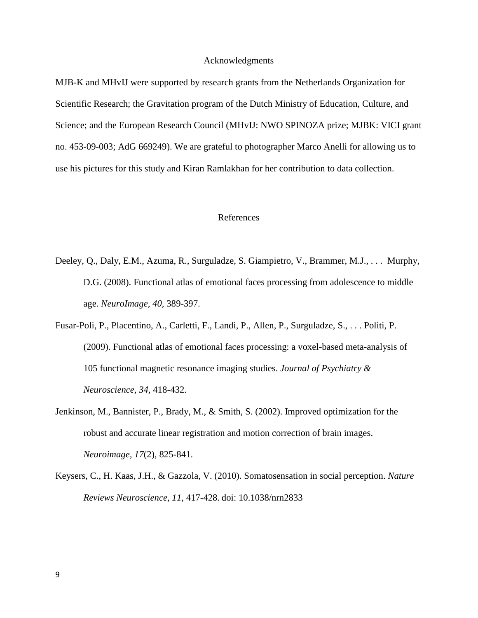#### Acknowledgments

MJB-K and MHvIJ were supported by research grants from the Netherlands Organization for Scientific Research; the Gravitation program of the Dutch Ministry of Education, Culture, and Science; and the European Research Council (MHvIJ: NWO SPINOZA prize; MJBK: VICI grant no. 453-09-003; AdG 669249). We are grateful to photographer Marco Anelli for allowing us to use his pictures for this study and Kiran Ramlakhan for her contribution to data collection.

### References

- Deeley, Q., Daly, E.M., Azuma, R., Surguladze, S. Giampietro, V., Brammer, M.J., . . . Murphy, D.G. (2008). Functional atlas of emotional faces processing from adolescence to middle age. *NeuroImage, 40,* 389-397.
- Fusar-Poli, P., Placentino, A., Carletti, F., Landi, P., Allen, P., Surguladze, S., . . . Politi, P. (2009). Functional atlas of emotional faces processing: a voxel-based meta-analysis of 105 functional magnetic resonance imaging studies. *Journal of Psychiatry & Neuroscience, 34*, 418-432.
- Jenkinson, M., Bannister, P., Brady, M., & Smith, S. (2002). Improved optimization for the robust and accurate linear registration and motion correction of brain images. *Neuroimage, 17*(2), 825-841.
- Keysers, C., H. Kaas, J.H., & Gazzola, V. (2010). Somatosensation in social perception. *Nature Reviews Neuroscience, 11*, 417-428. doi: 10.1038/nrn2833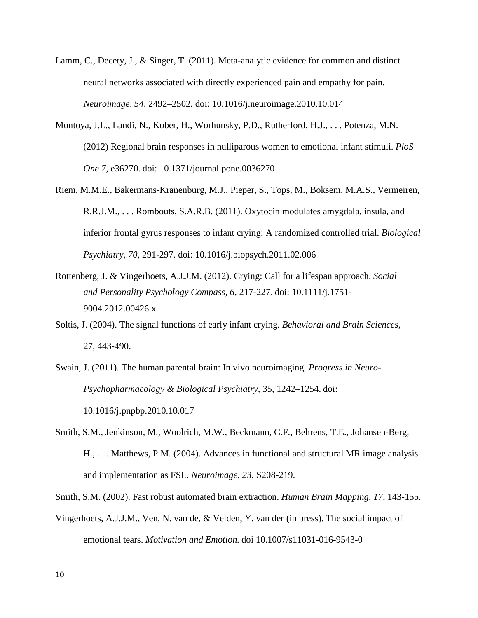- Lamm, C., Decety, J., & Singer, T. (2011). Meta-analytic evidence for common and distinct neural networks associated with directly experienced pain and empathy for pain. *Neuroimage, 54*, 2492–2502. doi: 10.1016/j.neuroimage.2010.10.014
- Montoya, J.L., Landi, N., Kober, H., Worhunsky, P.D., Rutherford, H.J., . . . Potenza, M.N. (2012) Regional brain responses in nulliparous women to emotional infant stimuli. *PloS One 7*, e36270. doi: 10.1371/journal.pone.0036270
- Riem, M.M.E., Bakermans-Kranenburg, M.J., Pieper, S., Tops, M., Boksem, M.A.S., Vermeiren, R.R.J.M., . . . Rombouts, S.A.R.B. (2011). Oxytocin modulates amygdala, insula, and inferior frontal gyrus responses to infant crying: A randomized controlled trial. *Biological Psychiatry, 70*, 291-297. doi: 10.1016/j.biopsych.2011.02.006
- Rottenberg, J. & Vingerhoets, A.J.J.M. (2012). Crying: Call for a lifespan approach. *Social and Personality Psychology Compass, 6*, 217-227. doi: 10.1111/j.1751- 9004.2012.00426.x
- Soltis, J. (2004). The signal functions of early infant crying. *Behavioral and Brain Sciences,* 27, 443-490.
- Swain, J. (2011). The human parental brain: In vivo neuroimaging. *Progress in Neuro-Psychopharmacology & Biological Psychiatry,* 35, 1242–1254. doi: 10.1016/j.pnpbp.2010.10.017
- Smith, S.M., Jenkinson, M., Woolrich, M.W., Beckmann, C.F., Behrens, T.E., Johansen-Berg, H., . . . Matthews, P.M. (2004). Advances in functional and structural MR image analysis and implementation as FSL. *Neuroimage, 23*, S208-219.
- Smith, S.M. (2002). Fast robust automated brain extraction. *Human Brain Mapping, 17*, 143-155.
- Vingerhoets, A.J.J.M., Ven, N. van de, & Velden, Y. van der (in press). The social impact of emotional tears. *Motivation and Emotion.* doi 10.1007/s11031-016-9543-0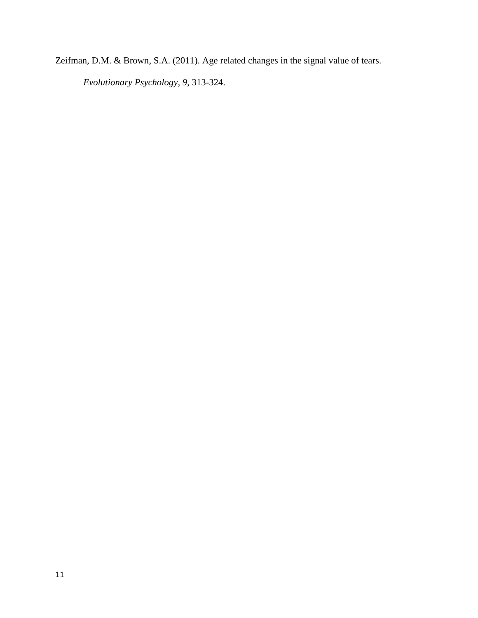Zeifman, D.M. & Brown, S.A. (2011). Age related changes in the signal value of tears.

*Evolutionary Psychology, 9*, 313-324.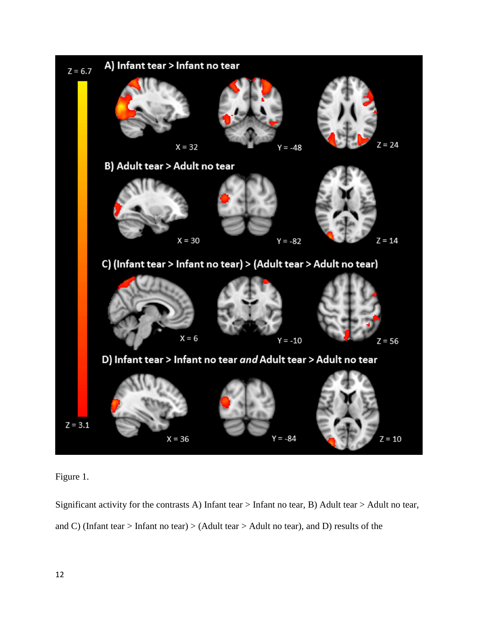

Figure 1.

Significant activity for the contrasts A) Infant tear > Infant no tear, B) Adult tear > Adult no tear, and C) (Infant tear > Infant no tear) > (Adult tear > Adult no tear), and D) results of the